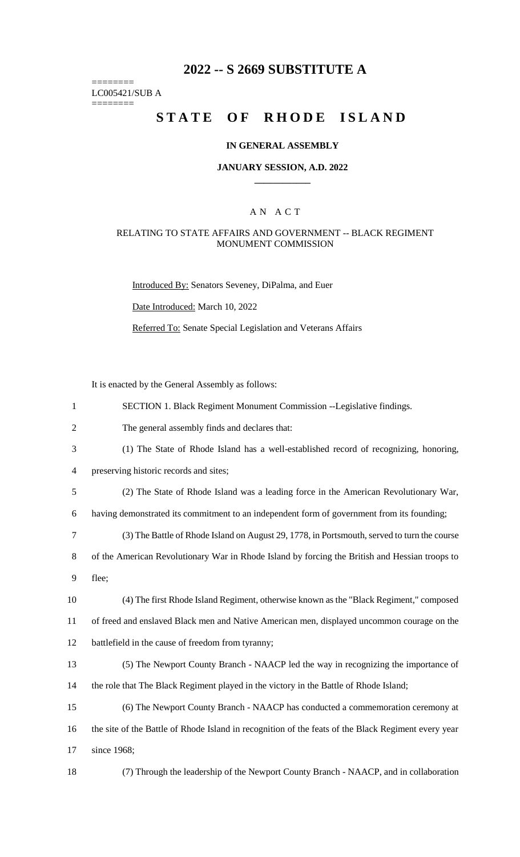## **2022 -- S 2669 SUBSTITUTE A**

======== LC005421/SUB A ========

# **STATE OF RHODE ISLAND**

## **IN GENERAL ASSEMBLY**

#### **JANUARY SESSION, A.D. 2022 \_\_\_\_\_\_\_\_\_\_\_\_**

#### A N A C T

#### RELATING TO STATE AFFAIRS AND GOVERNMENT -- BLACK REGIMENT MONUMENT COMMISSION

Introduced By: Senators Seveney, DiPalma, and Euer

Date Introduced: March 10, 2022

Referred To: Senate Special Legislation and Veterans Affairs

It is enacted by the General Assembly as follows:

| $\mathbf{1}$ | SECTION 1. Black Regiment Monument Commission --Legislative findings.                               |
|--------------|-----------------------------------------------------------------------------------------------------|
| 2            | The general assembly finds and declares that:                                                       |
| 3            | (1) The State of Rhode Island has a well-established record of recognizing, honoring,               |
| 4            | preserving historic records and sites;                                                              |
| 5            | (2) The State of Rhode Island was a leading force in the American Revolutionary War,                |
| 6            | having demonstrated its commitment to an independent form of government from its founding;          |
| 7            | (3) The Battle of Rhode Island on August 29, 1778, in Portsmouth, served to turn the course         |
| 8            | of the American Revolutionary War in Rhode Island by forcing the British and Hessian troops to      |
| 9            | flee;                                                                                               |
| 10           | (4) The first Rhode Island Regiment, otherwise known as the "Black Regiment," composed              |
| 11           | of freed and enslaved Black men and Native American men, displayed uncommon courage on the          |
| 12           | battlefield in the cause of freedom from tyranny;                                                   |
| 13           | (5) The Newport County Branch - NAACP led the way in recognizing the importance of                  |
|              |                                                                                                     |
|              | the role that The Black Regiment played in the victory in the Battle of Rhode Island;               |
| 14<br>15     | (6) The Newport County Branch - NAACP has conducted a commemoration ceremony at                     |
| 16           | the site of the Battle of Rhode Island in recognition of the feats of the Black Regiment every year |
| 17           | since 1968;                                                                                         |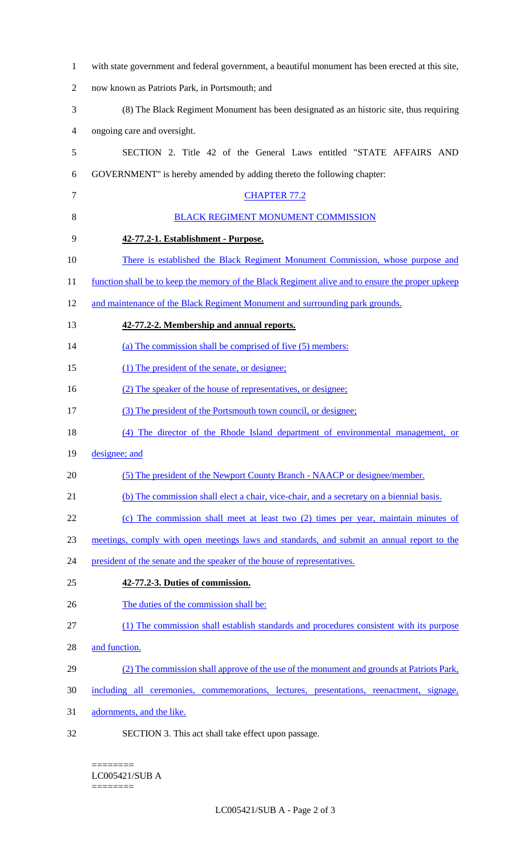| $\mathbf{1}$   | with state government and federal government, a beautiful monument has been erected at this site, |
|----------------|---------------------------------------------------------------------------------------------------|
| $\mathfrak{2}$ | now known as Patriots Park, in Portsmouth; and                                                    |
| 3              | (8) The Black Regiment Monument has been designated as an historic site, thus requiring           |
| 4              | ongoing care and oversight.                                                                       |
| 5              | SECTION 2. Title 42 of the General Laws entitled "STATE AFFAIRS AND                               |
| 6              | GOVERNMENT" is hereby amended by adding thereto the following chapter:                            |
| 7              | <b>CHAPTER 77.2</b>                                                                               |
| 8              | <b>BLACK REGIMENT MONUMENT COMMISSION</b>                                                         |
| 9              | 42-77.2-1. Establishment - Purpose.                                                               |
| 10             | <u>There is established the Black Regiment Monument Commission, whose purpose and</u>             |
| 11             | function shall be to keep the memory of the Black Regiment alive and to ensure the proper upkeep  |
| 12             | and maintenance of the Black Regiment Monument and surrounding park grounds.                      |
| 13             | 42-77.2-2. Membership and annual reports.                                                         |
| 14             | (a) The commission shall be comprised of five (5) members:                                        |
| 15             | (1) The president of the senate, or designee;                                                     |
| 16             | (2) The speaker of the house of representatives, or designee;                                     |
| 17             | (3) The president of the Portsmouth town council, or designee;                                    |
| 18             | (4) The director of the Rhode Island department of environmental management, or                   |
| 19             | designee; and                                                                                     |
| 20             | (5) The president of the Newport County Branch - NAACP or designee/member.                        |
| 21             | (b) The commission shall elect a chair, vice-chair, and a secretary on a biennial basis.          |
| 22             | (c) The commission shall meet at least two (2) times per year, maintain minutes of                |
| 23             | meetings, comply with open meetings laws and standards, and submit an annual report to the        |
| 24             | president of the senate and the speaker of the house of representatives.                          |
| 25             | 42-77.2-3. Duties of commission.                                                                  |
| 26             | The duties of the commission shall be:                                                            |
| 27             | (1) The commission shall establish standards and procedures consistent with its purpose           |
| 28             | and function.                                                                                     |
| 29             | (2) The commission shall approve of the use of the monument and grounds at Patriots Park,         |
| 30             | including all ceremonies, commemorations, lectures, presentations, reenactment, signage,          |
| 31             | adornments, and the like.                                                                         |
| 32             | SECTION 3. This act shall take effect upon passage.                                               |

#### $=$ LC005421/SUB A

========